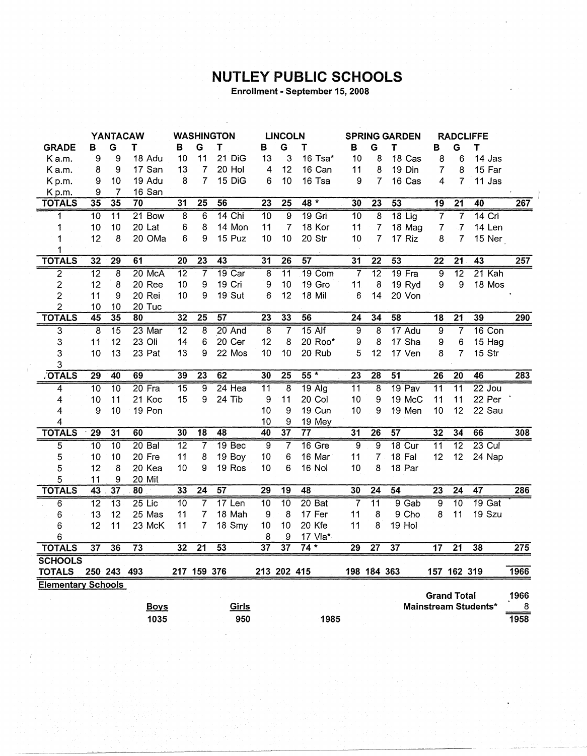## **NUTLEY PUBLIC SCHOOLS**

Enrollment - September 15, 2008

|                           |                 |                         | <b>YANTACAW</b> |                 |                 | <b>WASHINGTON</b> |                         | <b>LINCOLN</b>  |                 |                 |                 | <b>SPRING GARDEN</b> |                  |                    | <b>RADCLIFFE</b>     |      |
|---------------------------|-----------------|-------------------------|-----------------|-----------------|-----------------|-------------------|-------------------------|-----------------|-----------------|-----------------|-----------------|----------------------|------------------|--------------------|----------------------|------|
| <b>GRADE</b>              | в               | G                       | Τ               | в               | G               | T                 | в                       | G               | т               | в               | G               | т                    | в                | G                  | Τ                    |      |
| Ka.m.                     | 9               | 9                       | 18 Adu          | 10              | 11              | 21 DiG            | 13                      | 3               | 16 Tsa*         | 10              | 8               | 18 Cas               | 8                | 6                  | 14 Jas               |      |
| Ka.m.                     | 8               | 9                       | 17 San          | 13              | 7               | 20 Hol            | 4                       | 12              | 16 Can          | 11              | 8               | 19 Din               | $\overline{7}$   | 8                  | 15 Far               |      |
| Kp.m.                     | 9               | 10                      | 19 Adu          | 8               | $\overline{7}$  | 15 DiG            | 6                       | 10              | 16 Tsa          | 9               | 7               | 16 Cas               | 4                | 7                  | 11 Jas               |      |
| Kp.m.                     | 9               | 7                       | 16 San          |                 |                 |                   |                         |                 |                 |                 |                 |                      |                  |                    |                      |      |
| <b>TOTALS</b>             | 35              | 35                      | 70              | $\overline{31}$ | $\overline{25}$ | $\overline{56}$   | $\overline{23}$         | $\overline{25}$ | $48 *$          | 30              | $\overline{23}$ | $\overline{53}$      | 19               | $\overline{21}$    | 40                   | 267  |
| 1                         | $\overline{10}$ | $\overline{11}$         | 21 Bow          | $\overline{8}$  | 6               | 14 Chi            | $\overline{10}$         | $\overline{9}$  | $19$ Gri        | 10              | $\overline{8}$  | $18$ Lig             | $\overline{7}$   | $\overline{7}$     | $14$ Cri             |      |
| 1                         | 10              | 10                      | 20 Lat          | 6               | 8               | 14 Mon            | 11                      | 7               | 18 Kor          | 11              | $\overline{7}$  | 18 Mag               | $\boldsymbol{7}$ | $\overline{7}$     | 14 Len               |      |
| 1                         | 12              | 8                       | 20 OMa          | 6               | 9               | 15 Puz            | 10                      | 10              | 20 Str          | 10              | 7               | 17 Riz               | 8                | 7                  | 15 Ner               |      |
| 1                         |                 |                         |                 |                 |                 |                   |                         |                 |                 |                 |                 |                      |                  |                    |                      |      |
| <b>TOTALS</b>             | 32              | 29                      | 61              | $\overline{20}$ | $\overline{23}$ | $\overline{43}$   | 31                      | $\overline{26}$ | $\overline{57}$ | $\overline{31}$ | $\overline{22}$ | $\overline{53}$      | 22               | 21                 | $\overline{43}$      | 257  |
| $\overline{2}$            | $\overline{12}$ | $\overline{\mathbf{8}}$ | 20 McA          | $\overline{12}$ | 7               | $19$ Car          | $\overline{\mathbf{8}}$ | $\overline{11}$ | 19 Com          | 7               | $\overline{12}$ | $19$ Fra             | ढ़               | $\overline{12}$    | $21$ Kah             |      |
| $\overline{\mathbf{c}}$   | 12              | 8                       | 20 Ree          | 10              | 9               | 19 Cri            | 9                       | 10              | 19 Gro          | 11              | 8               | 19 Ryd               | 9                | 9                  | 18 Mos               |      |
| $\overline{c}$            | 11              | 9                       | 20 Rei          | 10              | 9               | <b>19 Sut</b>     | 6                       | 12              | 18 Mil          | 6               | 14              | 20 Von               |                  |                    |                      |      |
| $\overline{c}$            | 10              | 10                      | 20 Tuc          |                 |                 |                   |                         |                 |                 |                 |                 |                      |                  |                    |                      |      |
| <b>TOTALS</b>             | $\overline{45}$ | $\overline{35}$         | 80              | $\overline{32}$ | $\overline{25}$ | $\overline{57}$   | $\overline{23}$         | 33              | 56              | $\overline{24}$ | $\overline{34}$ | $\overline{58}$      | $\overline{18}$  | $\overline{21}$    | 39                   | 290  |
| 3                         | $\overline{8}$  | $\overline{15}$         | $23$ Mar        | $\overline{12}$ | 8               | 20 And            | $\overline{8}$          | 7               | $15$ Alf        | $\overline{9}$  | 8               | 17 Adu               | $\overline{9}$   | $\overline{7}$     | $16$ Con             |      |
| 3                         | 11              | 12                      | 23 Oli          | 14              | 6               | 20 Cer            | 12                      | 8               | 20 Roo*         | 9               | 8               | 17 Sha               | 9                | 6                  | 15 Hag               |      |
| 3                         | 10              | 13                      | 23 Pat          | 13              | 9               | 22 Mos            | 10                      | 10              | 20 Rub          | 5               | 12              | 17 Ven               | 8                | $\overline{7}$     | 15 Str               |      |
| 3                         |                 |                         |                 |                 |                 |                   |                         |                 |                 |                 |                 |                      |                  |                    |                      |      |
| <b>OTALS</b>              | 29              | 40                      | 69              | 39              | $\overline{23}$ | 62                | 30                      | $\overline{25}$ | $55*$           | $\overline{23}$ | 28              | 51                   | $\overline{26}$  | 20                 | 46                   | 283  |
| 4                         | 10              | $\overline{10}$         | $20$ Fra        | 15              | 9               | 24 Hea            | 11                      | 8               | $19$ Alg        | 11              | 8               | 19 Pav               | 11               | $\overline{11}$    | $22$ Jou             |      |
| 4                         | 10              | 11                      | 21 Koc          | 15              | 9               | 24 Tib            | 9                       | 11              | 20 Col          | 10              | 9               | 19 McC               | 11               | 11                 | 22 Per               |      |
| 4                         | 9               | 10                      | 19 Pon          |                 |                 |                   | 10                      | 9               | 19 Cun          | 10              | 9               | 19 Men               | 10               | 12                 | 22 Sau               |      |
| 4                         |                 |                         |                 |                 |                 |                   | 10                      | 9               | 19 Mey          |                 |                 |                      |                  |                    |                      |      |
| <b>TOTALS</b>             | $\overline{29}$ | $\overline{31}$         | 60              | 30              | $\overline{18}$ | 48                | 40                      | $\overline{37}$ | $\overline{77}$ | 31              | 26              | 57                   | 32               | 34                 | 66                   | 308  |
| 5                         | $\overline{10}$ | $\overline{10}$         | $20B$ al        | $\overline{12}$ | 7               | 19 Bec            | 9                       | 7               | 16 Gre          | 9               | $\overline{9}$  | 18 Cur               | $\overline{11}$  | $\overline{12}$    | $23$ Cul             |      |
| 5                         | 10              | 10                      | 20 Fre          | 11              | 8               | 19 Boy            | 10                      | 6               | 16 Mar          | 11              | $\overline{7}$  | 18 Fal               | 12               | 12                 | 24 Nap               |      |
| 5                         | 12              | 8                       | 20 Kea          | 10              | 9               | 19 Ros            | 10                      | 6               | 16 Nol          | 10              | 8               | 18 Par               |                  |                    |                      |      |
| 5                         | 11              | 9                       | 20 Mit          |                 |                 |                   |                         |                 |                 |                 |                 |                      |                  |                    |                      |      |
| <b>TOTALS</b>             | 43              | $\overline{37}$         | $\overline{80}$ | 33              | $\overline{24}$ | $\overline{57}$   | 29                      | 19              | 48              | 30              | $\overline{24}$ | 54                   | $\overline{23}$  | $\overline{24}$    | $\overline{47}$      | 286  |
| $\overline{6}$            | $\overline{12}$ | $\overline{13}$         | $25$ Lic        | $\overline{10}$ | 7               | 17 Len            | $\overline{10}$         | $\overline{10}$ | 20 Bat          | 7               | $\overline{11}$ | $9$ Gab              | ढ़               | $\overline{10}$    | 19 <sub>Gal</sub>    |      |
| 6                         | 13              | 12                      | 25 Mas          | 11              | 7               | 18 Mah            | 9                       | 8               | 17 Fer          | 11              | 8               | 9 Cho                | 8                | 11                 | 19 Szu               |      |
| 6                         | 12              | 11                      | 23 McK          | 11              | 7               | 18 Smy            | 10                      | 10              | 20 Kfe          | 11              | 8               | 19 Hol               |                  |                    |                      |      |
| 6                         |                 |                         |                 |                 |                 |                   | 8                       | 9               | 17 Vla*         |                 |                 |                      |                  |                    |                      |      |
| <b>TOTALS</b>             | $\overline{37}$ | 36                      | $\overline{73}$ | 32              | $\overline{21}$ | 53                | $\overline{37}$         | $\overline{37}$ | $74*$           | 29              | $\overline{27}$ | $\overline{37}$      | $\overline{17}$  | $\overline{21}$    | 38                   | 275  |
| <b>SCHOOLS</b>            |                 |                         |                 |                 |                 |                   |                         |                 |                 |                 |                 |                      |                  |                    |                      |      |
| <b>TOTALS</b>             |                 | 250 243 493             |                 |                 | 217 159 376     |                   | 213 202 415             |                 |                 |                 | 198 184 363     |                      |                  | 157 162 319        |                      | 1966 |
| <b>Elementary Schools</b> |                 |                         |                 |                 |                 |                   |                         |                 |                 |                 |                 |                      |                  |                    |                      |      |
|                           |                 |                         |                 |                 |                 |                   |                         |                 |                 |                 |                 |                      |                  | <b>Grand Total</b> |                      | 1966 |
|                           |                 |                         | <b>Boys</b>     |                 |                 | Girls             |                         |                 |                 |                 |                 |                      |                  |                    | Mainstream Students* | 8    |
|                           |                 |                         | 1035            |                 |                 | 950               |                         |                 | 1985            |                 |                 |                      |                  |                    |                      | 1958 |